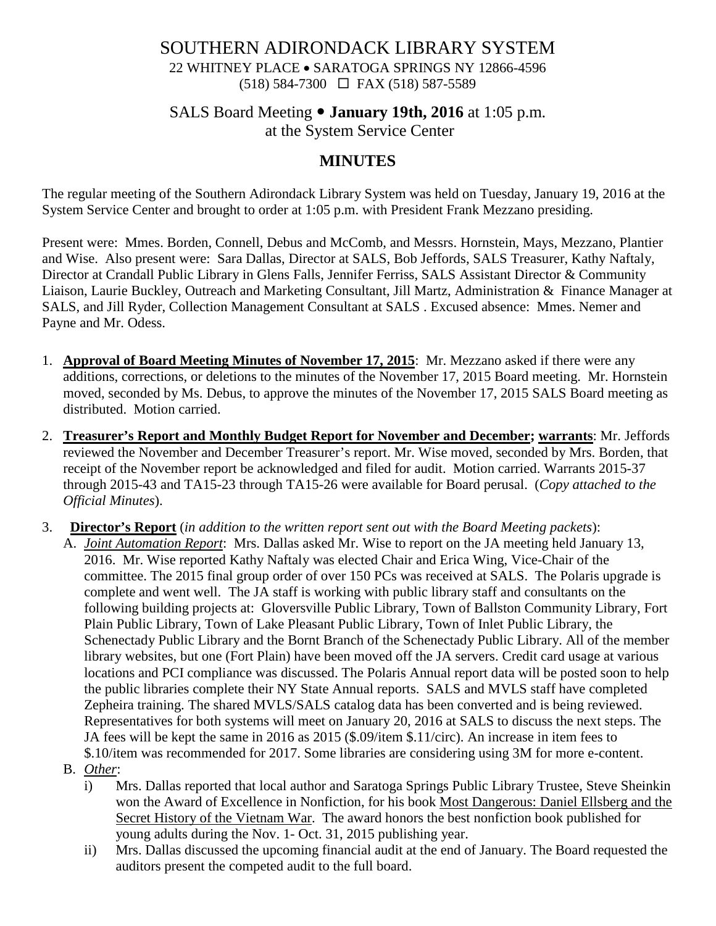#### SOUTHERN ADIRONDACK LIBRARY SYSTEM 22 WHITNEY PLACE • SARATOGA SPRINGS NY 12866-4596 (518) 584-7300 FAX (518) 587-5589

#### SALS Board Meeting **January 19th, 2016** at 1:05 p.m. at the System Service Center

# **MINUTES**

The regular meeting of the Southern Adirondack Library System was held on Tuesday, January 19, 2016 at the System Service Center and brought to order at 1:05 p.m. with President Frank Mezzano presiding.

Present were: Mmes. Borden, Connell, Debus and McComb, and Messrs. Hornstein, Mays, Mezzano, Plantier and Wise. Also present were: Sara Dallas, Director at SALS, Bob Jeffords, SALS Treasurer, Kathy Naftaly, Director at Crandall Public Library in Glens Falls, Jennifer Ferriss, SALS Assistant Director & Community Liaison, Laurie Buckley, Outreach and Marketing Consultant, Jill Martz, Administration & Finance Manager at SALS, and Jill Ryder, Collection Management Consultant at SALS . Excused absence: Mmes. Nemer and Payne and Mr. Odess.

- 1. **Approval of Board Meeting Minutes of November 17, 2015**: Mr. Mezzano asked if there were any additions, corrections, or deletions to the minutes of the November 17, 2015 Board meeting. Mr. Hornstein moved, seconded by Ms. Debus, to approve the minutes of the November 17, 2015 SALS Board meeting as distributed. Motion carried.
- 2. **Treasurer's Report and Monthly Budget Report for November and December; warrants**: Mr. Jeffords reviewed the November and December Treasurer's report. Mr. Wise moved, seconded by Mrs. Borden, that receipt of the November report be acknowledged and filed for audit. Motion carried. Warrants 2015-37 through 2015-43 and TA15-23 through TA15-26 were available for Board perusal. (*Copy attached to the Official Minutes*).
- 3. **Director's Report** (*in addition to the written report sent out with the Board Meeting packets*):
	- A. *Joint Automation Report*: Mrs. Dallas asked Mr. Wise to report on the JA meeting held January 13, 2016. Mr. Wise reported Kathy Naftaly was elected Chair and Erica Wing, Vice-Chair of the committee. The 2015 final group order of over 150 PCs was received at SALS. The Polaris upgrade is complete and went well. The JA staff is working with public library staff and consultants on the following building projects at: Gloversville Public Library, Town of Ballston Community Library, Fort Plain Public Library, Town of Lake Pleasant Public Library, Town of Inlet Public Library, the Schenectady Public Library and the Bornt Branch of the Schenectady Public Library. All of the member library websites, but one (Fort Plain) have been moved off the JA servers. Credit card usage at various locations and PCI compliance was discussed. The Polaris Annual report data will be posted soon to help the public libraries complete their NY State Annual reports. SALS and MVLS staff have completed Zepheira training. The shared MVLS/SALS catalog data has been converted and is being reviewed. Representatives for both systems will meet on January 20, 2016 at SALS to discuss the next steps. The JA fees will be kept the same in 2016 as 2015 (\$.09/item \$.11/circ). An increase in item fees to \$.10/item was recommended for 2017. Some libraries are considering using 3M for more e-content.
	- B. *Other*:
		- i) Mrs. Dallas reported that local author and Saratoga Springs Public Library Trustee, Steve Sheinkin won the Award of Excellence in Nonfiction, for his book Most Dangerous: Daniel Ellsberg and the Secret History of the Vietnam War. The award honors the best nonfiction book published for young adults during the Nov. 1- Oct. 31, 2015 publishing year.
		- ii) Mrs. Dallas discussed the upcoming financial audit at the end of January. The Board requested the auditors present the competed audit to the full board.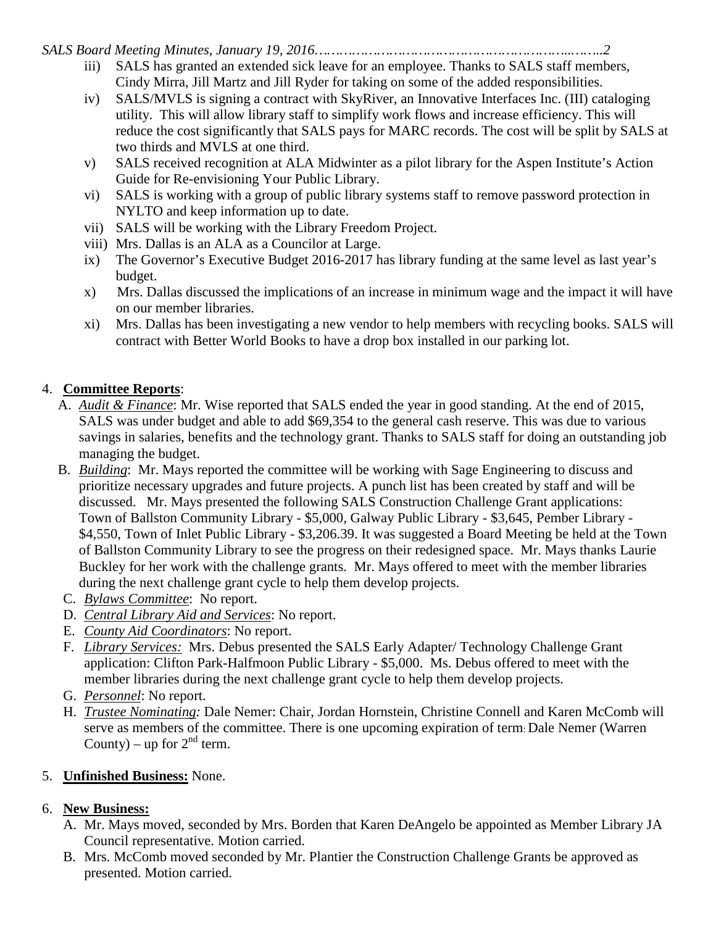*SALS Board Meeting Minutes, January 19, 2016……………………………………………………..……..2*

- iii) SALS has granted an extended sick leave for an employee. Thanks to SALS staff members, Cindy Mirra, Jill Martz and Jill Ryder for taking on some of the added responsibilities.
- iv) SALS/MVLS is signing a contract with SkyRiver, an Innovative Interfaces Inc. (III) cataloging utility. This will allow library staff to simplify work flows and increase efficiency. This will reduce the cost significantly that SALS pays for MARC records. The cost will be split by SALS at two thirds and MVLS at one third.
- v) SALS received recognition at ALA Midwinter as a pilot library for the Aspen Institute's Action Guide for Re-envisioning Your Public Library.
- vi) SALS is working with a group of public library systems staff to remove password protection in NYLTO and keep information up to date.
- vii) SALS will be working with the Library Freedom Project.
- viii) Mrs. Dallas is an ALA as a Councilor at Large.
- ix) The Governor's Executive Budget 2016-2017 has library funding at the same level as last year's budget.
- x) Mrs. Dallas discussed the implications of an increase in minimum wage and the impact it will have on our member libraries.
- xi) Mrs. Dallas has been investigating a new vendor to help members with recycling books. SALS will contract with Better World Books to have a drop box installed in our parking lot.

## 4. **Committee Reports**:

- A. *Audit & Finance*: Mr. Wise reported that SALS ended the year in good standing. At the end of 2015, SALS was under budget and able to add \$69,354 to the general cash reserve. This was due to various savings in salaries, benefits and the technology grant. Thanks to SALS staff for doing an outstanding job managing the budget.
- B. *Building*: Mr. Mays reported the committee will be working with Sage Engineering to discuss and prioritize necessary upgrades and future projects. A punch list has been created by staff and will be discussed. Mr. Mays presented the following SALS Construction Challenge Grant applications: Town of Ballston Community Library - \$5,000, Galway Public Library - \$3,645, Pember Library - \$4,550, Town of Inlet Public Library - \$3,206.39. It was suggested a Board Meeting be held at the Town of Ballston Community Library to see the progress on their redesigned space. Mr. Mays thanks Laurie Buckley for her work with the challenge grants. Mr. Mays offered to meet with the member libraries during the next challenge grant cycle to help them develop projects.
- C. *Bylaws Committee*: No report.
- D. *Central Library Aid and Services*: No report.
- E. *County Aid Coordinators*: No report.
- F. *Library Services:* Mrs. Debus presented the SALS Early Adapter/ Technology Challenge Grant application: Clifton Park-Halfmoon Public Library - \$5,000. Ms. Debus offered to meet with the member libraries during the next challenge grant cycle to help them develop projects.
- G. *Personnel*: No report.
- H. *Trustee Nominating:* Dale Nemer: Chair, Jordan Hornstein, Christine Connell and Karen McComb will serve as members of the committee. There is one upcoming expiration of term: Dale Nemer (Warren County) – up for  $2^{nd}$  term.

## 5. **Unfinished Business:** None.

## 6. **New Business:**

- A. Mr. Mays moved, seconded by Mrs. Borden that Karen DeAngelo be appointed as Member Library JA Council representative. Motion carried.
- B. Mrs. McComb moved seconded by Mr. Plantier the Construction Challenge Grants be approved as presented. Motion carried.